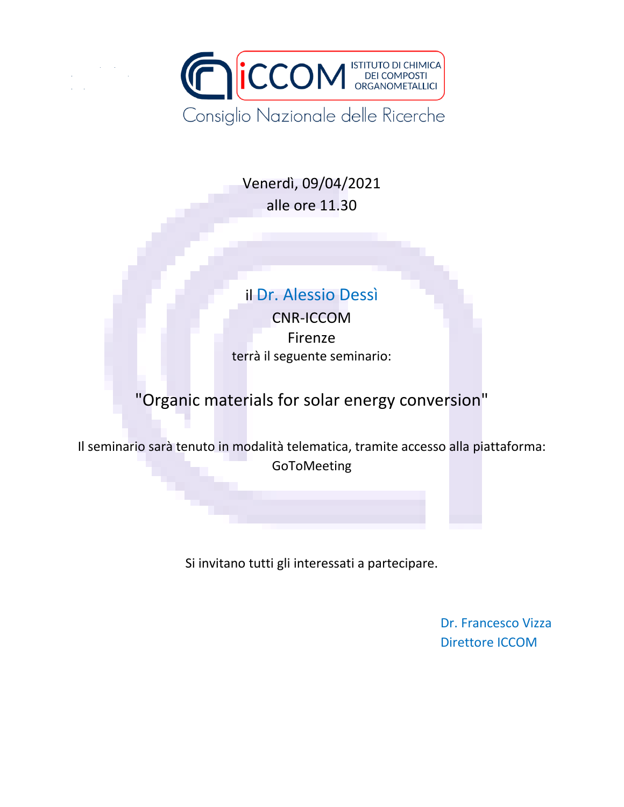

Venerdì, 09/04/2021 alle ore 11.30

## il Dr. Alessio Dessì

CNR-ICCOM Firenze terrà il seguente seminario:

## "Organic materials for solar energy conversion"

Il seminario sarà tenuto in modalità telematica, tramite accesso alla piattaforma: GoToMeeting

Si invitano tutti gli interessati a partecipare.

Dr. Francesco Vizza Direttore ICCOM